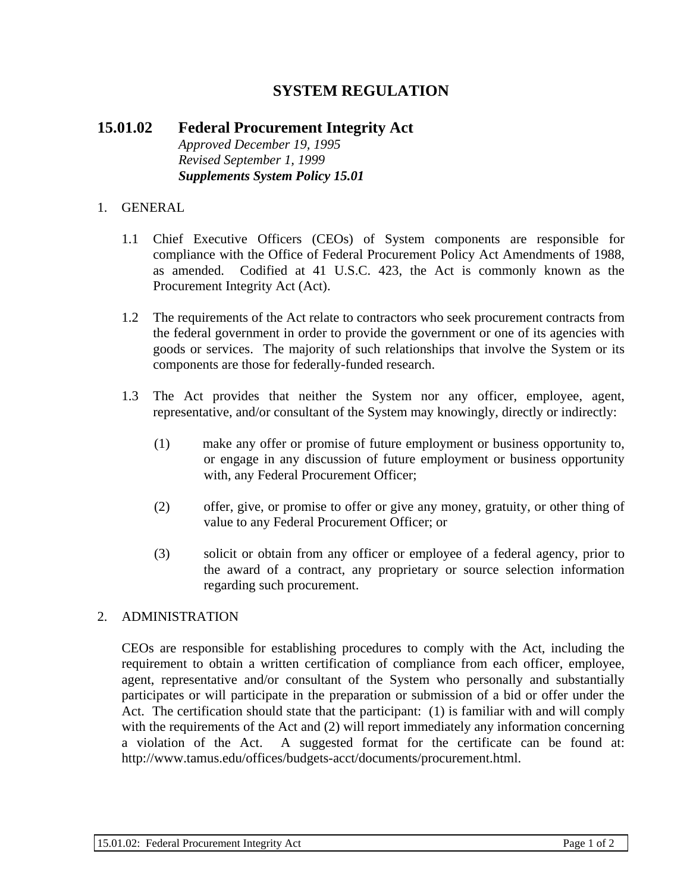# **SYSTEM REGULATION**

## **15.01.02 Federal Procurement Integrity Act**  *Approved December 19, 1995 Revised September 1, 1999 Supplements System Policy 15.01*

### 1. GENERAL

- 1.1 Chief Executive Officers (CEOs) of System components are responsible for compliance with the Office of Federal Procurement Policy Act Amendments of 1988, as amended. Codified at 41 U.S.C. 423, the Act is commonly known as the Procurement Integrity Act (Act).
- 1.2 The requirements of the Act relate to contractors who seek procurement contracts from the federal government in order to provide the government or one of its agencies with goods or services. The majority of such relationships that involve the System or its components are those for federally-funded research.
- 1.3 The Act provides that neither the System nor any officer, employee, agent, representative, and/or consultant of the System may knowingly, directly or indirectly:
	- (1) make any offer or promise of future employment or business opportunity to, or engage in any discussion of future employment or business opportunity with, any Federal Procurement Officer;
	- (2) offer, give, or promise to offer or give any money, gratuity, or other thing of value to any Federal Procurement Officer; or
	- (3) solicit or obtain from any officer or employee of a federal agency, prior to the award of a contract, any proprietary or source selection information regarding such procurement.

#### 2. ADMINISTRATION

CEOs are responsible for establishing procedures to comply with the Act, including the requirement to obtain a written certification of compliance from each officer, employee, agent, representative and/or consultant of the System who personally and substantially participates or will participate in the preparation or submission of a bid or offer under the Act. The certification should state that the participant: (1) is familiar with and will comply with the requirements of the Act and (2) will report immediately any information concerning a violation of the Act. A suggested format for the certificate can be found at: http://www.tamus.edu/offices/budgets-acct/documents/procurement.html.